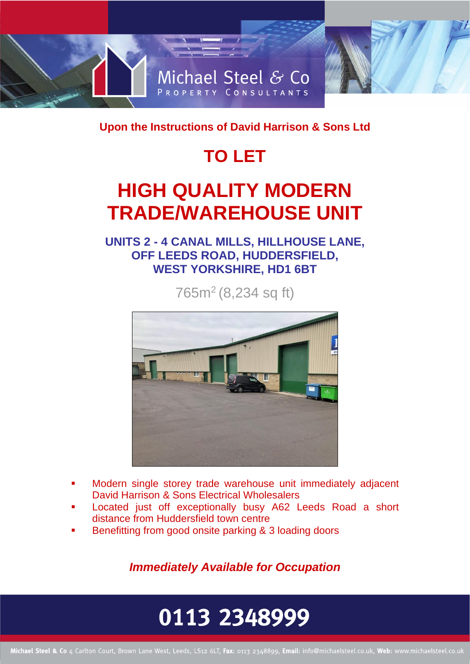

**Upon the Instructions of David Harrison & Sons Ltd** 

## **TO LET**

## **HIGH QUALITY MODERN TRADE/WAREHOUSE UNIT**

**UNITS 2 - 4 CANAL MILLS, HILLHOUSE LANE, OFF LEEDS ROAD, HUDDERSFIELD, WEST YORKSHIRE, HD1 6BT**

765m<sup>2</sup> (8,234 sq ft)



- Modern single storey trade warehouse unit immediately adjacent David Harrison & Sons Electrical Wholesalers
- Located just off exceptionally busy A62 Leeds Road a short distance from Huddersfield town centre
- Benefitting from good onsite parking & 3 loading doors

*Immediately Available for Occupation* 

# 0113 2348999

Michael Steel & Co 4 Carlton Court, Brown Lane West, Leeds, LS12 6LT, Fax: 0113 2348899, Email: info@michaelsteel.co.uk, Web: www.michaelsteel.co.uk